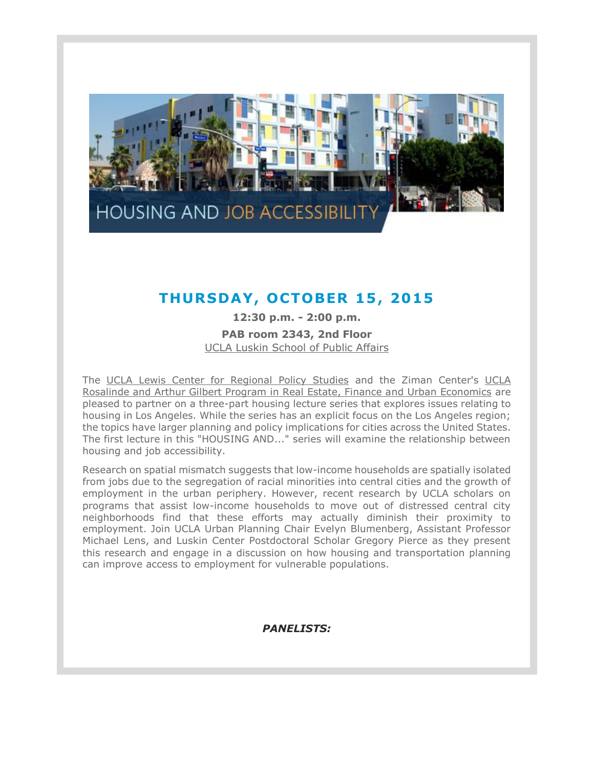

## **THURSDAY , OCTOBER 15, 2015**

**12:30 p.m. - 2:00 p.m. PAB room 2343, 2nd Floor** [UCLA Luskin School of Public Affairs](https://t.e2ma.net/click/6svui/qwjnyh/256g8c)

The [UCLA Lewis Center for Regional Policy Studies](https://t.e2ma.net/click/6svui/qwjnyh/yq8g8c) and the Ziman Center's [UCLA](https://t.e2ma.net/click/6svui/qwjnyh/ej9g8c)  [Rosalinde and Arthur Gilbert Program in Real Estate, Finance and Urban Economics](https://t.e2ma.net/click/6svui/qwjnyh/ej9g8c) are pleased to partner on a three-part housing lecture series that explores issues relating to housing in Los Angeles. While the series has an explicit focus on the Los Angeles region; the topics have larger planning and policy implications for cities across the United States. The first lecture in this "HOUSING AND..." series will examine the relationship between housing and job accessibility.

Research on spatial mismatch suggests that low-income households are spatially isolated from jobs due to the segregation of racial minorities into central cities and the growth of employment in the urban periphery. However, recent research by UCLA scholars on programs that assist low-income households to move out of distressed central city neighborhoods find that these efforts may actually diminish their proximity to employment. Join UCLA Urban Planning Chair Evelyn Blumenberg, Assistant Professor Michael Lens, and Luskin Center Postdoctoral Scholar Gregory Pierce as they present this research and engage in a discussion on how housing and transportation planning can improve access to employment for vulnerable populations.

## *PANELISTS:*